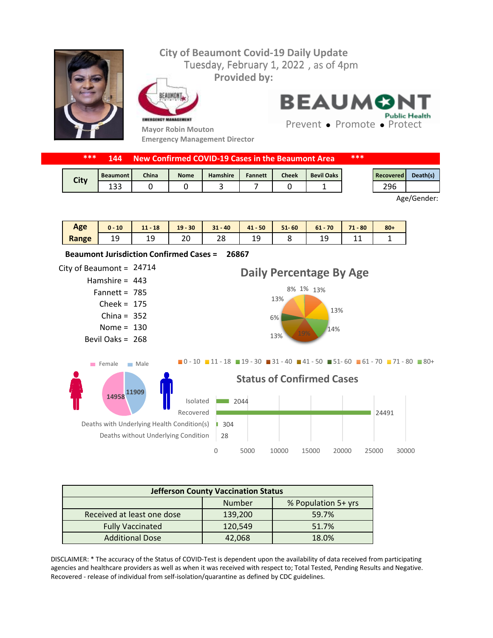

| ***<br>***<br>New Confirmed COVID-19 Cases in the Beaumont Area<br><b>144</b> |                 |              |             |                 |                |              |                   |                  |          |
|-------------------------------------------------------------------------------|-----------------|--------------|-------------|-----------------|----------------|--------------|-------------------|------------------|----------|
|                                                                               | <b>Beaumont</b> | <b>China</b> | <b>Nome</b> | <b>Hamshire</b> | <b>Fannett</b> | <b>Cheek</b> | <b>Bevil Oaks</b> | <b>Recovered</b> | Death(s) |
| City                                                                          | ່ວວ             |              |             |                 |                |              |                   | 296              |          |

Age/Gender:

| Age   | 10        | $11 - 18$ | $19 - 30$ | $31 - 40$ | $41 - 50$ | $51 - 60$ | 70<br>$61 -$ | $-80$<br>71<br>. . | $80 +$ |
|-------|-----------|-----------|-----------|-----------|-----------|-----------|--------------|--------------------|--------|
| Range | ن ۱<br>ᅩᄀ | --        | ٦c<br>∠∪  | າດ<br>20  | ر _       |           | --           | --                 |        |

**26867 Beaumont Jurisdiction Confirmed Cases =** 

City of Beaumont =  $24714$ Hamshire = 443 Fannett =  $785$  $Check = 175$ China =  $352$ Nome =  $130$ Bevil Oaks = 268 28 | 304 24491  $\boxed{\qquad}$  2044 0 5000 10000 15000 20000 25000 30000 Deaths without Underlying Condition Deaths with Underlying Health Condition(s) Recovered Isolated **Status of Confirmed Cases** 8% 1% 13% 13% 14% 13% 19% 6% 13% **Daily Percentage By Age**  $\blacksquare$ 0 - 10  $\blacksquare$  11 - 18  $\blacksquare$  19 - 30  $\blacksquare$  31 - 40  $\blacksquare$  41 - 50  $\blacksquare$  51 - 60  $\blacksquare$  61 - 70  $\blacksquare$  71 - 80  $\blacksquare$  80 + **11909 14958** Female Male

| <b>Jefferson County Vaccination Status</b> |         |       |  |  |  |
|--------------------------------------------|---------|-------|--|--|--|
| Number<br>% Population 5+ yrs              |         |       |  |  |  |
| Received at least one dose                 | 139,200 | 59.7% |  |  |  |
| <b>Fully Vaccinated</b>                    | 120,549 | 51.7% |  |  |  |
| <b>Additional Dose</b>                     | 42,068  | 18.0% |  |  |  |

DISCLAIMER: \* The accuracy of the Status of COVID-Test is dependent upon the availability of data received from participating agencies and healthcare providers as well as when it was received with respect to; Total Tested, Pending Results and Negative. Recovered - release of individual from self-isolation/quarantine as defined by CDC guidelines.